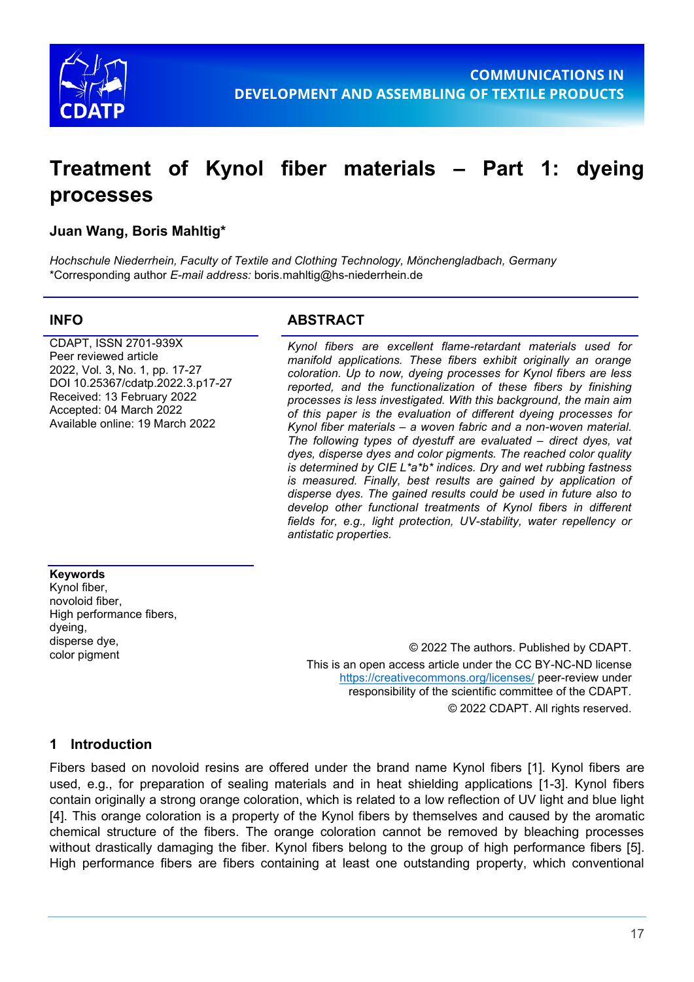

# **Treatment of Kynol fiber materials – Part 1: dyeing processes**

### **Juan Wang, Boris Mahltig\***

*Hochschule Niederrhein, Faculty of Textile and Clothing Technology, Mönchengladbach, Germany* \*Corresponding author *E-mail address:* boris.mahltig@hs-niederrhein.de

CDAPT, ISSN 2701-939X Peer reviewed article 2022, Vol. 3, No. 1, pp. 17-27 DOI 10.25367/cdatp.2022.3.p17-27 Received: 13 February 2022 Accepted: 04 March 2022 Available online: 19 March 2022

#### **INFO ABSTRACT**

*Kynol fibers are excellent flame-retardant materials used for manifold applications. These fibers exhibit originally an orange coloration. Up to now, dyeing processes for Kynol fibers are less reported, and the functionalization of these fibers by finishing processes is less investigated. With this background, the main aim of this paper is the evaluation of different dyeing processes for Kynol fiber materials – a woven fabric and a non-woven material. The following types of dyestuff are evaluated – direct dyes, vat dyes, disperse dyes and color pigments. The reached color quality is determined by CIE L\*a\*b\* indices. Dry and wet rubbing fastness is measured. Finally, best results are gained by application of disperse dyes. The gained results could be used in future also to develop other functional treatments of Kynol fibers in different fields for, e.g., light protection, UV-stability, water repellency or antistatic properties.*

#### **Keywords**

Kynol fiber, novoloid fiber, High performance fibers, dyeing, disperse dye,

color pigment © 2022 The authors. Published by CDAPT. This is an open access article under the CC BY-NC-ND license <https://creativecommons.org/licenses/> peer-review under responsibility of the scientific committee of the CDAPT. © 2022 CDAPT. All rights reserved.

#### **1 Introduction**

Fibers based on novoloid resins are offered under the brand name Kynol fibers [1]. Kynol fibers are used, e.g., for preparation of sealing materials and in heat shielding applications [1-3]. Kynol fibers contain originally a strong orange coloration, which is related to a low reflection of UV light and blue light [4]. This orange coloration is a property of the Kynol fibers by themselves and caused by the aromatic chemical structure of the fibers. The orange coloration cannot be removed by bleaching processes without drastically damaging the fiber. Kynol fibers belong to the group of high performance fibers [5]. High performance fibers are fibers containing at least one outstanding property, which conventional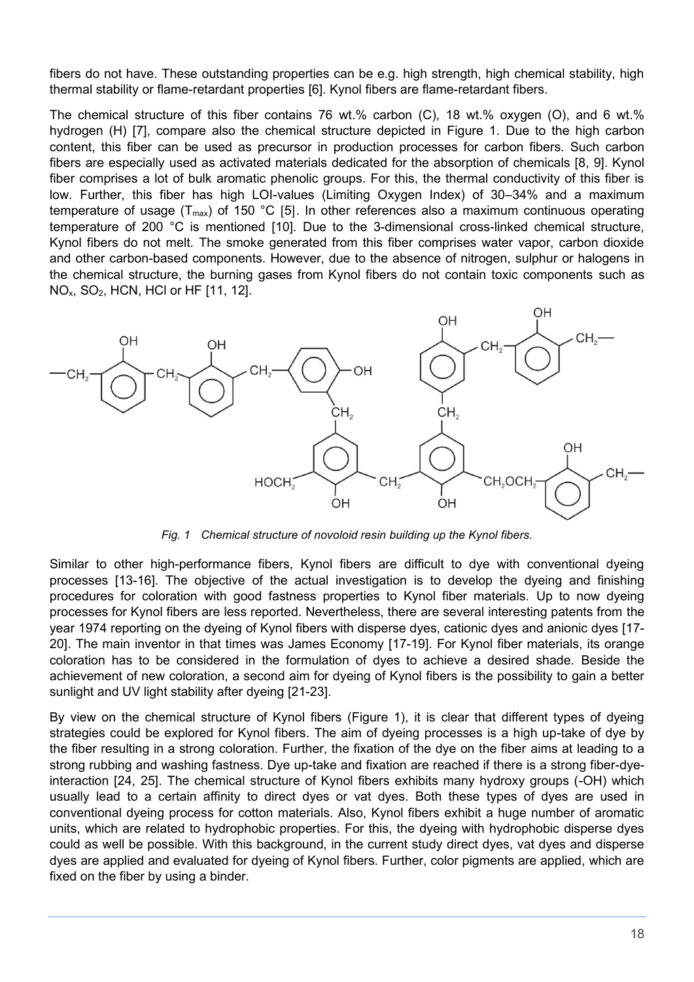fibers do not have. These outstanding properties can be e.g. high strength, high chemical stability, high thermal stability or flame-retardant properties [6]. Kynol fibers are flame-retardant fibers.

The chemical structure of this fiber contains 76 wt.% carbon (C), 18 wt.% oxygen (O), and 6 wt.% hydrogen (H) [7], compare also the chemical structure depicted in Figure 1. Due to the high carbon content, this fiber can be used as precursor in production processes for carbon fibers. Such carbon fibers are especially used as activated materials dedicated for the absorption of chemicals [8, 9]. Kynol fiber comprises a lot of bulk aromatic phenolic groups. For this, the thermal conductivity of this fiber is low. Further, this fiber has high LOI-values (Limiting Oxygen Index) of 30–34% and a maximum temperature of usage ( $T_{max}$ ) of 150 °C [5]. In other references also a maximum continuous operating temperature of 200 °C is mentioned [10]. Due to the 3-dimensional cross-linked chemical structure, Kynol fibers do not melt. The smoke generated from this fiber comprises water vapor, carbon dioxide and other carbon-based components. However, due to the absence of nitrogen, sulphur or halogens in the chemical structure, the burning gases from Kynol fibers do not contain toxic components such as NO<sub>x</sub>, SO<sub>2</sub>, HCN, HCl or HF [11, 12].



*Fig. 1 Chemical structure of novoloid resin building up the Kynol fibers.*

Similar to other high-performance fibers, Kynol fibers are difficult to dye with conventional dyeing processes [13-16]. The objective of the actual investigation is to develop the dyeing and finishing procedures for coloration with good fastness properties to Kynol fiber materials. Up to now dyeing processes for Kynol fibers are less reported. Nevertheless, there are several interesting patents from the year 1974 reporting on the dyeing of Kynol fibers with disperse dyes, cationic dyes and anionic dyes [17- 20]. The main inventor in that times was James Economy [17-19]. For Kynol fiber materials, its orange coloration has to be considered in the formulation of dyes to achieve a desired shade. Beside the achievement of new coloration, a second aim for dyeing of Kynol fibers is the possibility to gain a better sunlight and UV light stability after dyeing [21-23].

By view on the chemical structure of Kynol fibers (Figure 1), it is clear that different types of dyeing strategies could be explored for Kynol fibers. The aim of dyeing processes is a high up-take of dye by the fiber resulting in a strong coloration. Further, the fixation of the dye on the fiber aims at leading to a strong rubbing and washing fastness. Dye up-take and fixation are reached if there is a strong fiber-dyeinteraction [24, 25]. The chemical structure of Kynol fibers exhibits many hydroxy groups (-OH) which usually lead to a certain affinity to direct dyes or vat dyes. Both these types of dyes are used in conventional dyeing process for cotton materials. Also, Kynol fibers exhibit a huge number of aromatic units, which are related to hydrophobic properties. For this, the dyeing with hydrophobic disperse dyes could as well be possible. With this background, in the current study direct dyes, vat dyes and disperse dyes are applied and evaluated for dyeing of Kynol fibers. Further, color pigments are applied, which are fixed on the fiber by using a binder.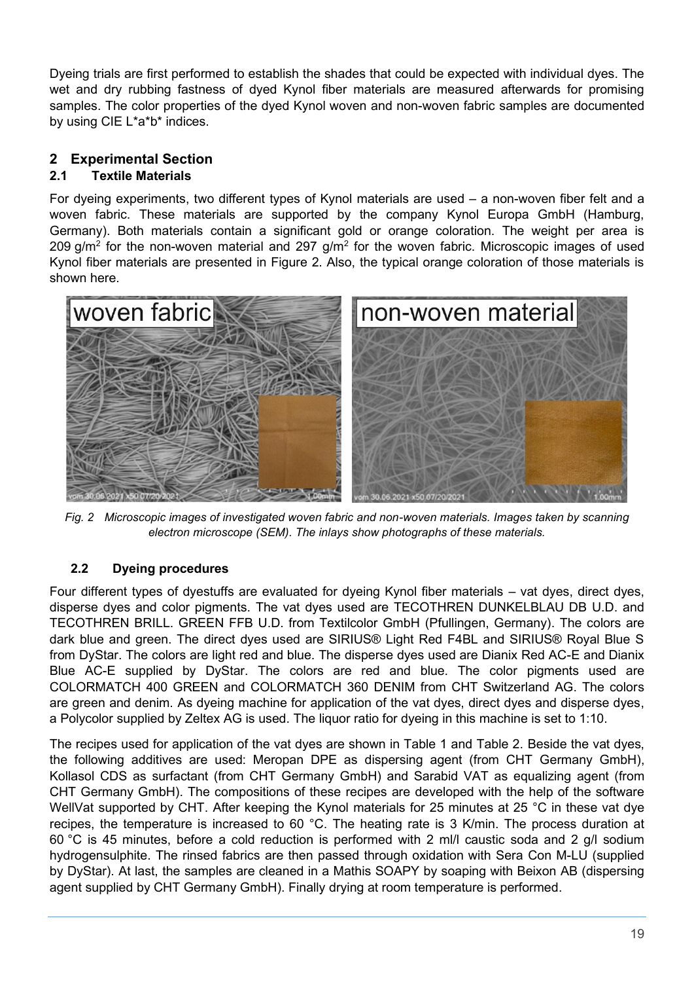Dyeing trials are first performed to establish the shades that could be expected with individual dyes. The wet and dry rubbing fastness of dyed Kynol fiber materials are measured afterwards for promising samples. The color properties of the dyed Kynol woven and non-woven fabric samples are documented by using CIE L\*a\*b\* indices.

# **2 Experimental Section**

# **2.1 Textile Materials**

For dyeing experiments, two different types of Kynol materials are used – a non-woven fiber felt and a woven fabric. These materials are supported by the company Kynol Europa GmbH (Hamburg, Germany). Both materials contain a significant gold or orange coloration. The weight per area is 209 g/m<sup>2</sup> for the non-woven material and 297 g/m<sup>2</sup> for the woven fabric. Microscopic images of used Kynol fiber materials are presented in Figure 2. Also, the typical orange coloration of those materials is shown here.



*Fig. 2 Microscopic images of investigated woven fabric and non-woven materials. Images taken by scanning electron microscope (SEM). The inlays show photographs of these materials.*

# **2.2 Dyeing procedures**

Four different types of dyestuffs are evaluated for dyeing Kynol fiber materials – vat dyes, direct dyes, disperse dyes and color pigments. The vat dyes used are TECOTHREN DUNKELBLAU DB U.D. and TECOTHREN BRILL. GREEN FFB U.D. from Textilcolor GmbH (Pfullingen, Germany). The colors are dark blue and green. The direct dyes used are SIRIUS® Light Red F4BL and SIRIUS® Royal Blue S from DyStar. The colors are light red and blue. The disperse dyes used are Dianix Red AC-E and Dianix Blue AC-E supplied by DyStar. The colors are red and blue. The color pigments used are COLORMATCH 400 GREEN and COLORMATCH 360 DENIM from CHT Switzerland AG. The colors are green and denim. As dyeing machine for application of the vat dyes, direct dyes and disperse dyes, a Polycolor supplied by Zeltex AG is used. The liquor ratio for dyeing in this machine is set to 1:10.

The recipes used for application of the vat dyes are shown in Table 1 and Table 2. Beside the vat dyes, the following additives are used: Meropan DPE as dispersing agent (from CHT Germany GmbH), Kollasol CDS as surfactant (from CHT Germany GmbH) and Sarabid VAT as equalizing agent (from CHT Germany GmbH). The compositions of these recipes are developed with the help of the software WellVat supported by CHT. After keeping the Kynol materials for 25 minutes at 25 °C in these vat dye recipes, the temperature is increased to 60 °C. The heating rate is 3 K/min. The process duration at 60 °C is 45 minutes, before a cold reduction is performed with 2 ml/l caustic soda and 2 g/l sodium hydrogensulphite. The rinsed fabrics are then passed through oxidation with Sera Con M-LU (supplied by DyStar). At last, the samples are cleaned in a Mathis SOAPY by soaping with Beixon AB (dispersing agent supplied by CHT Germany GmbH). Finally drying at room temperature is performed.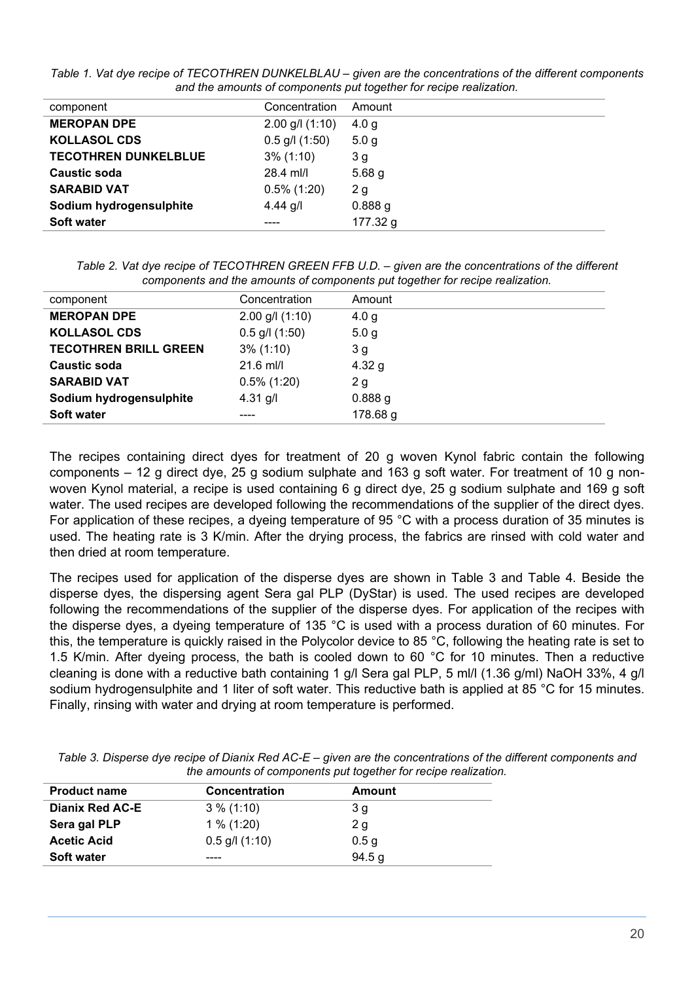| component                   | Concentration       | Amount            |  |
|-----------------------------|---------------------|-------------------|--|
| <b>MEROPAN DPE</b>          | $2.00$ g/l $(1:10)$ | 4.0 g             |  |
| <b>KOLLASOL CDS</b>         | $0.5$ g/l $(1:50)$  | 5.0 <sub>g</sub>  |  |
| <b>TECOTHREN DUNKELBLUE</b> | $3\%$ (1:10)        | 3 <sub>g</sub>    |  |
| <b>Caustic soda</b>         | 28.4 ml/l           | 5.68 <sub>g</sub> |  |
| <b>SARABID VAT</b>          | $0.5\%$ (1:20)      | 2g                |  |
| Sodium hydrogensulphite     | 4.44 $g/l$          | 0.888g            |  |
| <b>Soft water</b>           |                     | 177.32 g          |  |

*Table 1. Vat dye recipe of TECOTHREN DUNKELBLAU – given are the concentrations of the different components and the amounts of components put together for recipe realization.*

*Table 2. Vat dye recipe of TECOTHREN GREEN FFB U.D. – given are the concentrations of the different components and the amounts of components put together for recipe realization.*

| component                    | Concentration       | Amount           |
|------------------------------|---------------------|------------------|
| <b>MEROPAN DPE</b>           | $2.00$ g/l $(1:10)$ | 4.0 g            |
| <b>KOLLASOL CDS</b>          | $0.5$ g/l $(1:50)$  | 5.0 <sub>g</sub> |
| <b>TECOTHREN BRILL GREEN</b> | $3\%$ (1:10)        | 3 <sub>g</sub>   |
| <b>Caustic soda</b>          | $21.6$ ml/l         | 4.32 g           |
| <b>SARABID VAT</b>           | $0.5\%$ (1:20)      | 2g               |
| Sodium hydrogensulphite      | $4.31$ g/l          | 0.888g           |
| <b>Soft water</b>            |                     | 178.68 g         |
|                              |                     |                  |

The recipes containing direct dyes for treatment of 20 g woven Kynol fabric contain the following components – 12 g direct dye, 25 g sodium sulphate and 163 g soft water. For treatment of 10 g nonwoven Kynol material, a recipe is used containing 6 g direct dye, 25 g sodium sulphate and 169 g soft water. The used recipes are developed following the recommendations of the supplier of the direct dyes. For application of these recipes, a dyeing temperature of 95 °C with a process duration of 35 minutes is used. The heating rate is 3 K/min. After the drying process, the fabrics are rinsed with cold water and then dried at room temperature.

The recipes used for application of the disperse dyes are shown in Table 3 and Table 4. Beside the disperse dyes, the dispersing agent Sera gal PLP (DyStar) is used. The used recipes are developed following the recommendations of the supplier of the disperse dyes. For application of the recipes with the disperse dyes, a dyeing temperature of 135 °C is used with a process duration of 60 minutes. For this, the temperature is quickly raised in the Polycolor device to 85 °C, following the heating rate is set to 1.5 K/min. After dyeing process, the bath is cooled down to 60 °C for 10 minutes. Then a reductive cleaning is done with a reductive bath containing 1 g/l Sera gal PLP, 5 ml/l (1.36 g/ml) NaOH 33%, 4 g/l sodium hydrogensulphite and 1 liter of soft water. This reductive bath is applied at 85 °C for 15 minutes. Finally, rinsing with water and drying at room temperature is performed.

|                     |                      | $\frac{1}{2}$ . The contract of the conference part to give the two part of the contract of |  |  |
|---------------------|----------------------|---------------------------------------------------------------------------------------------|--|--|
| <b>Product name</b> | <b>Concentration</b> | Amount                                                                                      |  |  |
| Dianix Red AC-E     | $3\%$ (1:10)         | 3 g                                                                                         |  |  |
| Sera gal PLP        | $1\%$ (1:20)         | 2g                                                                                          |  |  |
| <b>Acetic Acid</b>  | $0.5$ g/l $(1:10)$   | 0.5 <sub>g</sub>                                                                            |  |  |
| <b>Soft water</b>   | ----                 | 94.5 g                                                                                      |  |  |

*Table 3. Disperse dye recipe of Dianix Red AC-E – given are the concentrations of the different components and the amounts of components put together for recipe realization.*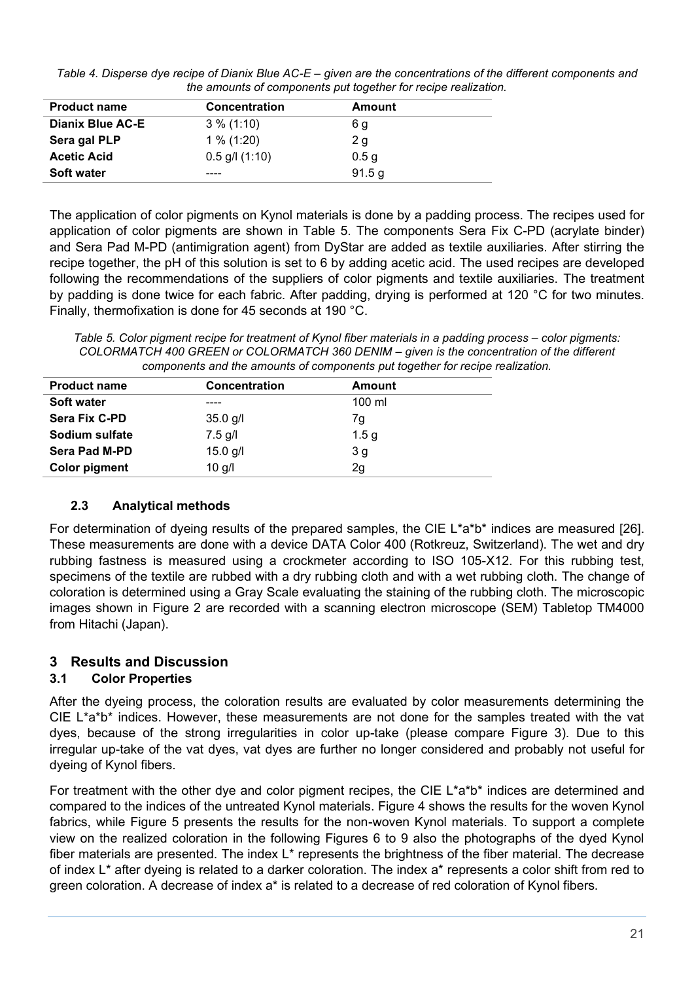*Table 4. Disperse dye recipe of Dianix Blue AC-E – given are the concentrations of the different components and the amounts of components put together for recipe realization.*

| <b>Product name</b>     | <b>Concentration</b> | Amount           |
|-------------------------|----------------------|------------------|
| <b>Dianix Blue AC-E</b> | $3\%$ (1:10)         | 6 g              |
| Sera gal PLP            | $1\%$ (1:20)         | 2 g              |
| <b>Acetic Acid</b>      | $0.5$ g/l $(1:10)$   | 0.5 <sub>q</sub> |
| <b>Soft water</b>       | ----                 | 91.5 g           |

The application of color pigments on Kynol materials is done by a padding process. The recipes used for application of color pigments are shown in Table 5. The components Sera Fix C-PD (acrylate binder) and Sera Pad M-PD (antimigration agent) from DyStar are added as textile auxiliaries. After stirring the recipe together, the pH of this solution is set to 6 by adding acetic acid. The used recipes are developed following the recommendations of the suppliers of color pigments and textile auxiliaries. The treatment by padding is done twice for each fabric. After padding, drying is performed at 120 °C for two minutes. Finally, thermofixation is done for 45 seconds at 190 °C.

*Table 5. Color pigment recipe for treatment of Kynol fiber materials in a padding process – color pigments: COLORMATCH 400 GREEN or COLORMATCH 360 DENIM – given is the concentration of the different components and the amounts of components put together for recipe realization.*

| <b>Product name</b>  | <b>Concentration</b> | Amount           |
|----------------------|----------------------|------------------|
| <b>Soft water</b>    | ----                 | $100 \mathrm{m}$ |
| <b>Sera Fix C-PD</b> | $35.0$ g/l           | 7g               |
| Sodium sulfate       | $7.5$ g/l            | 1.5 <sub>g</sub> |
| Sera Pad M-PD        | $15.0$ g/l           | 3 g              |
| <b>Color pigment</b> | $10$ g/l             | 2g               |

#### **2.3 Analytical methods**

For determination of dyeing results of the prepared samples, the CIE L\*a\*b\* indices are measured [26]. These measurements are done with a device DATA Color 400 (Rotkreuz, Switzerland). The wet and dry rubbing fastness is measured using a crockmeter according to ISO 105-X12. For this rubbing test, specimens of the textile are rubbed with a dry rubbing cloth and with a wet rubbing cloth. The change of coloration is determined using a Gray Scale evaluating the staining of the rubbing cloth. The microscopic images shown in Figure 2 are recorded with a scanning electron microscope (SEM) Tabletop TM4000 from Hitachi (Japan).

# **3 Results and Discussion**

# **3.1 Color Properties**

After the dyeing process, the coloration results are evaluated by color measurements determining the CIE L\*a\*b\* indices. However, these measurements are not done for the samples treated with the vat dyes, because of the strong irregularities in color up-take (please compare Figure 3). Due to this irregular up-take of the vat dyes, vat dyes are further no longer considered and probably not useful for dyeing of Kynol fibers.

For treatment with the other dye and color pigment recipes, the CIE L\*a\*b\* indices are determined and compared to the indices of the untreated Kynol materials. Figure 4 shows the results for the woven Kynol fabrics, while Figure 5 presents the results for the non-woven Kynol materials. To support a complete view on the realized coloration in the following Figures 6 to 9 also the photographs of the dyed Kynol fiber materials are presented. The index L\* represents the brightness of the fiber material. The decrease of index L\* after dyeing is related to a darker coloration. The index a\* represents a color shift from red to green coloration. A decrease of index a\* is related to a decrease of red coloration of Kynol fibers.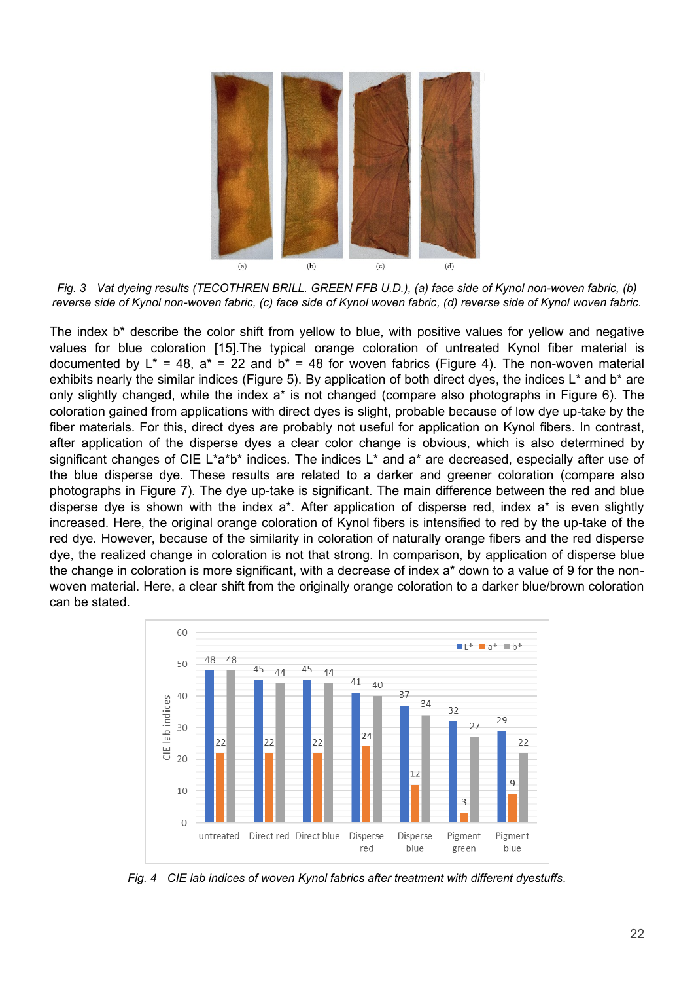

*Fig. 3 Vat dyeing results (TECOTHREN BRILL. GREEN FFB U.D.), (a) face side of Kynol non-woven fabric, (b) reverse side of Kynol non-woven fabric, (c) face side of Kynol woven fabric, (d) reverse side of Kynol woven fabric.*

The index b\* describe the color shift from yellow to blue, with positive values for yellow and negative values for blue coloration [15].The typical orange coloration of untreated Kynol fiber material is documented by  $L^* = 48$ ,  $a^* = 22$  and  $b^* = 48$  for woven fabrics (Figure 4). The non-woven material exhibits nearly the similar indices (Figure 5). By application of both direct dyes, the indices L\* and b\* are only slightly changed, while the index a\* is not changed (compare also photographs in Figure 6). The coloration gained from applications with direct dyes is slight, probable because of low dye up-take by the fiber materials. For this, direct dyes are probably not useful for application on Kynol fibers. In contrast, after application of the disperse dyes a clear color change is obvious, which is also determined by significant changes of CIE L\*a\*b\* indices. The indices L\* and a\* are decreased, especially after use of the blue disperse dye. These results are related to a darker and greener coloration (compare also photographs in Figure 7). The dye up-take is significant. The main difference between the red and blue disperse dye is shown with the index a\*. After application of disperse red, index a\* is even slightly increased. Here, the original orange coloration of Kynol fibers is intensified to red by the up-take of the red dye. However, because of the similarity in coloration of naturally orange fibers and the red disperse dye, the realized change in coloration is not that strong. In comparison, by application of disperse blue the change in coloration is more significant, with a decrease of index a\* down to a value of 9 for the nonwoven material. Here, a clear shift from the originally orange coloration to a darker blue/brown coloration can be stated.



*Fig. 4 CIE lab indices of woven Kynol fabrics after treatment with different dyestuffs.*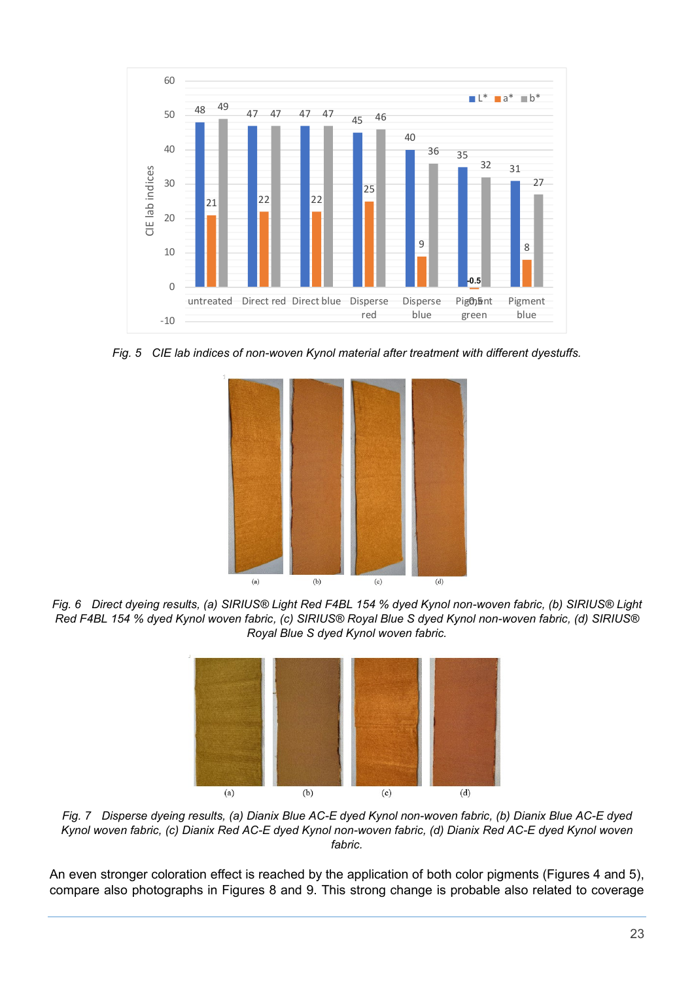

*Fig. 5 CIE lab indices of non-woven Kynol material after treatment with different dyestuffs.*



*Fig. 6 Direct dyeing results, (a) SIRIUS® Light Red F4BL 154 % dyed Kynol non-woven fabric, (b) SIRIUS® Light Red F4BL 154 % dyed Kynol woven fabric, (c) SIRIUS® Royal Blue S dyed Kynol non-woven fabric, (d) SIRIUS® Royal Blue S dyed Kynol woven fabric.*



*Fig. 7 Disperse dyeing results, (a) Dianix Blue AC-E dyed Kynol non-woven fabric, (b) Dianix Blue AC-E dyed Kynol woven fabric, (c) Dianix Red AC-E dyed Kynol non-woven fabric, (d) Dianix Red AC-E dyed Kynol woven fabric.*

An even stronger coloration effect is reached by the application of both color pigments (Figures 4 and 5), compare also photographs in Figures 8 and 9. This strong change is probable also related to coverage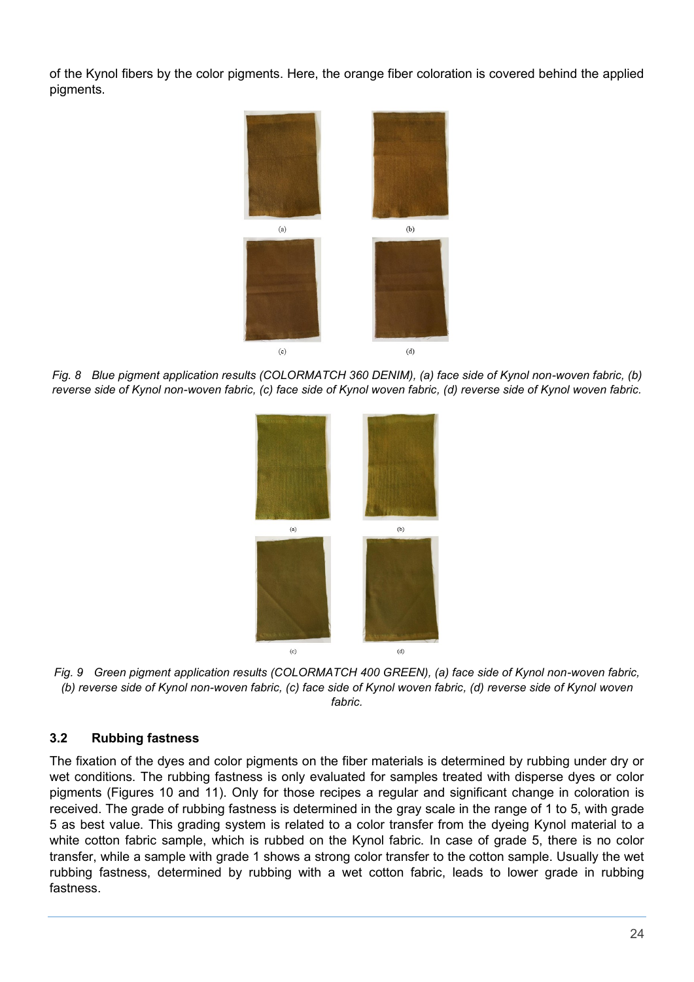of the Kynol fibers by the color pigments. Here, the orange fiber coloration is covered behind the applied pigments.



*Fig. 8 Blue pigment application results (COLORMATCH 360 DENIM), (a) face side of Kynol non-woven fabric, (b) reverse side of Kynol non-woven fabric, (c) face side of Kynol woven fabric, (d) reverse side of Kynol woven fabric.*



*Fig. 9 Green pigment application results (COLORMATCH 400 GREEN), (a) face side of Kynol non-woven fabric, (b) reverse side of Kynol non-woven fabric, (c) face side of Kynol woven fabric, (d) reverse side of Kynol woven fabric.*

#### **3.2 Rubbing fastness**

The fixation of the dyes and color pigments on the fiber materials is determined by rubbing under dry or wet conditions. The rubbing fastness is only evaluated for samples treated with disperse dyes or color pigments (Figures 10 and 11). Only for those recipes a regular and significant change in coloration is received. The grade of rubbing fastness is determined in the gray scale in the range of 1 to 5, with grade 5 as best value. This grading system is related to a color transfer from the dyeing Kynol material to a white cotton fabric sample, which is rubbed on the Kynol fabric. In case of grade 5, there is no color transfer, while a sample with grade 1 shows a strong color transfer to the cotton sample. Usually the wet rubbing fastness, determined by rubbing with a wet cotton fabric, leads to lower grade in rubbing fastness.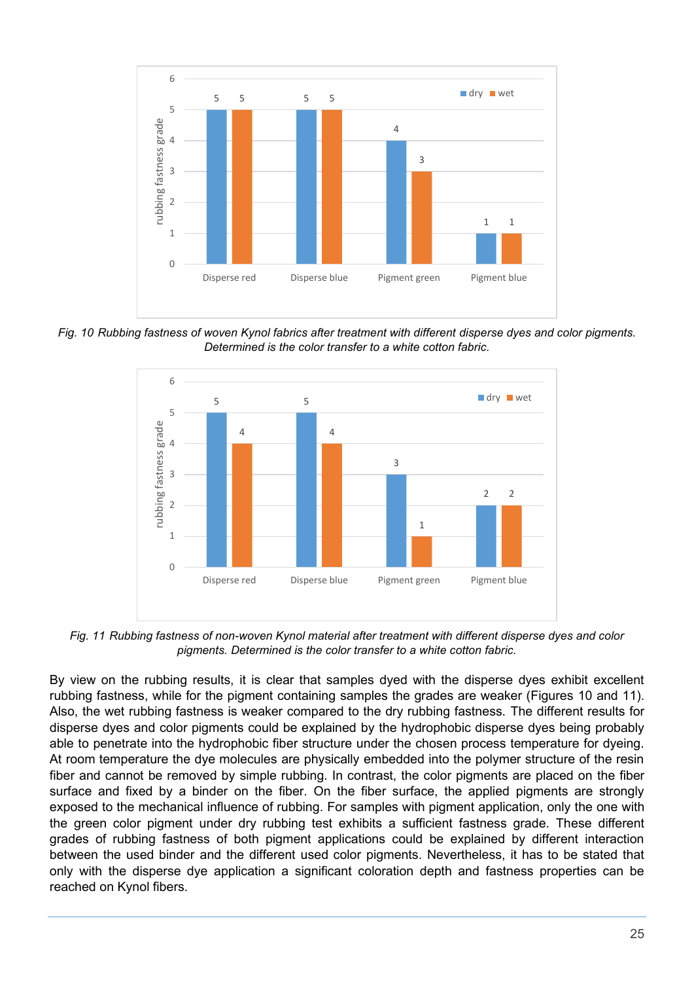

*Fig. 10 Rubbing fastness of woven Kynol fabrics after treatment with different disperse dyes and color pigments. Determined is the color transfer to a white cotton fabric.*



*Fig. 11 Rubbing fastness of non-woven Kynol material after treatment with different disperse dyes and color pigments. Determined is the color transfer to a white cotton fabric.*

By view on the rubbing results, it is clear that samples dyed with the disperse dyes exhibit excellent rubbing fastness, while for the pigment containing samples the grades are weaker (Figures 10 and 11). Also, the wet rubbing fastness is weaker compared to the dry rubbing fastness. The different results for disperse dyes and color pigments could be explained by the hydrophobic disperse dyes being probably able to penetrate into the hydrophobic fiber structure under the chosen process temperature for dyeing. At room temperature the dye molecules are physically embedded into the polymer structure of the resin fiber and cannot be removed by simple rubbing. In contrast, the color pigments are placed on the fiber surface and fixed by a binder on the fiber. On the fiber surface, the applied pigments are strongly exposed to the mechanical influence of rubbing. For samples with pigment application, only the one with the green color pigment under dry rubbing test exhibits a sufficient fastness grade. These different grades of rubbing fastness of both pigment applications could be explained by different interaction between the used binder and the different used color pigments. Nevertheless, it has to be stated that only with the disperse dye application a significant coloration depth and fastness properties can be reached on Kynol fibers.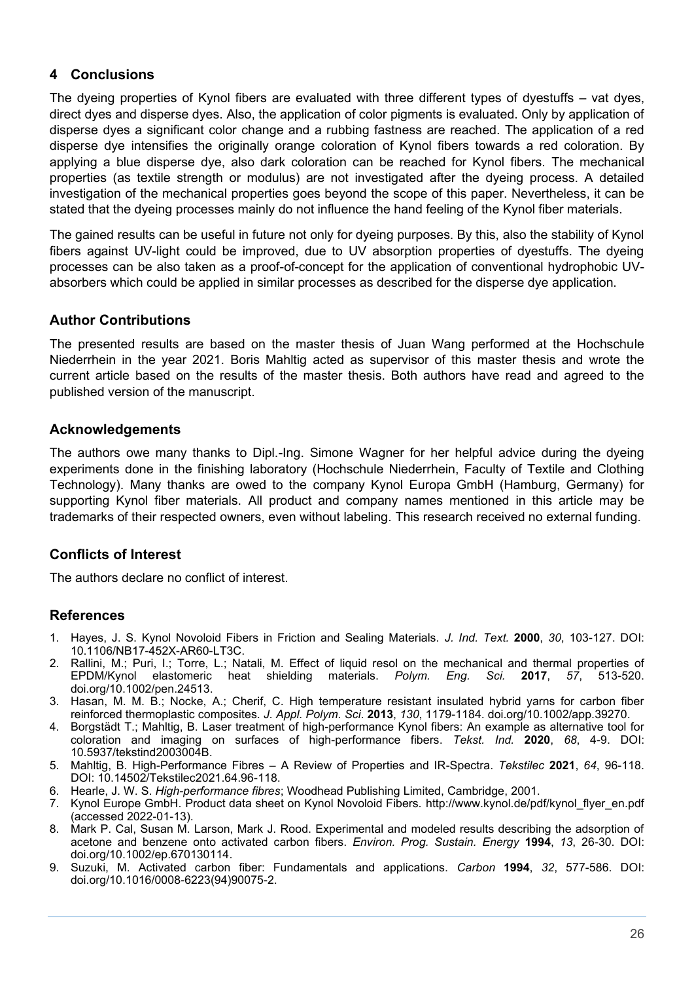#### **4 Conclusions**

The dyeing properties of Kynol fibers are evaluated with three different types of dyestuffs – vat dyes, direct dyes and disperse dyes. Also, the application of color pigments is evaluated. Only by application of disperse dyes a significant color change and a rubbing fastness are reached. The application of a red disperse dye intensifies the originally orange coloration of Kynol fibers towards a red coloration. By applying a blue disperse dye, also dark coloration can be reached for Kynol fibers. The mechanical properties (as textile strength or modulus) are not investigated after the dyeing process. A detailed investigation of the mechanical properties goes beyond the scope of this paper. Nevertheless, it can be stated that the dyeing processes mainly do not influence the hand feeling of the Kynol fiber materials.

The gained results can be useful in future not only for dyeing purposes. By this, also the stability of Kynol fibers against UV-light could be improved, due to UV absorption properties of dyestuffs. The dyeing processes can be also taken as a proof-of-concept for the application of conventional hydrophobic UVabsorbers which could be applied in similar processes as described for the disperse dye application.

# **Author Contributions**

The presented results are based on the master thesis of Juan Wang performed at the Hochschule Niederrhein in the year 2021. Boris Mahltig acted as supervisor of this master thesis and wrote the current article based on the results of the master thesis. Both authors have read and agreed to the published version of the manuscript.

#### **Acknowledgements**

The authors owe many thanks to Dipl.-Ing. Simone Wagner for her helpful advice during the dyeing experiments done in the finishing laboratory (Hochschule Niederrhein, Faculty of Textile and Clothing Technology). Many thanks are owed to the company Kynol Europa GmbH (Hamburg, Germany) for supporting Kynol fiber materials. All product and company names mentioned in this article may be trademarks of their respected owners, even without labeling. This research received no external funding.

# **Conflicts of Interest**

The authors declare no conflict of interest.

#### **References**

- 1. Hayes, J. S. Kynol Novoloid Fibers in Friction and Sealing Materials. *J. Ind. Text.* **2000**, *30*, 103-127. DOI: 10.1106/NB17-452X-AR60-LT3C.
- 2. Rallini, M.; Puri, I.; Torre, L.; Natali, M. Effect of liquid resol on the mechanical and thermal properties of EPDM/Kynol elastomeric heat shielding materials. *Polym. Eng. Sci.* **2017**, *57*, 513-520. doi.org/10.1002/pen.24513.
- 3. Hasan, M. M. B.; Nocke, A.; Cherif, C. High temperature resistant insulated hybrid yarns for carbon fiber reinforced thermoplastic composites. *J. Appl. Polym. Sci*. **2013**, *130*, 1179-1184. doi.org/10.1002/app.39270.
- 4. Borgstädt T.; Mahltig, B. Laser treatment of high-performance Kynol fibers: An example as alternative tool for coloration and imaging on surfaces of high-performance fibers. *Tekst. Ind.* **2020**, *68*, 4-9. DOI: 10.5937/tekstind2003004B.
- 5. Mahltig, B. High-Performance Fibres A Review of Properties and IR-Spectra. *Tekstilec* **2021**, *64*, 96-118. DOI: 10.14502/Tekstilec2021.64.96-118.
- 6. Hearle, J. W. S. *High-performance fibres*; Woodhead Publishing Limited, Cambridge, 2001.
- 7. Kynol Europe GmbH. Product data sheet on Kynol Novoloid Fibers. http://www.kynol.de/pdf/kynol\_flyer\_en.pdf (accessed 2022-01-13).
- 8. Mark P. Cal, Susan M. Larson, Mark J. Rood. Experimental and modeled results describing the adsorption of acetone and benzene onto activated carbon fibers. *Environ. Prog. Sustain. Energy* **1994**, *13*, 26-30. DOI: doi.org/10.1002/ep.670130114.
- 9. Suzuki, M. Activated carbon fiber: Fundamentals and applications. *Carbon* **1994**, *32*, 577-586. DOI: doi.org/10.1016/0008-6223(94)90075-2.